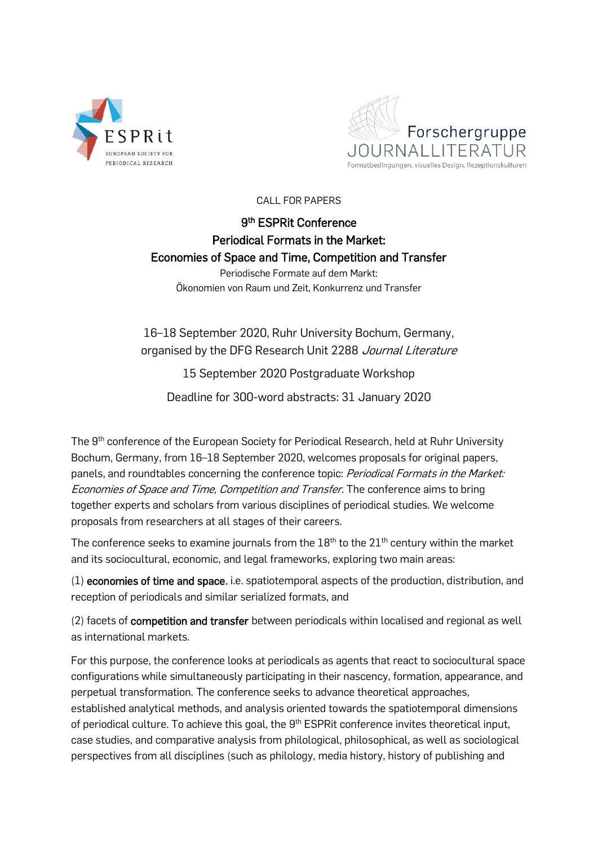



CALL FOR PAPERS

## 9<sup>th</sup> ESPRit Conference Periodical Formats in the Market: Economies of Space and Time, Competition and Transfer

Periodische Formate auf dem Markt: Ökonomien von Raum und Zeit, Konkurrenz und Transfer

16–18 September 2020, Ruhr University Bochum, Germany, organised by the DFG Research Unit 2288 Journal Literature

15 September 2020 Postgraduate Workshop

Deadline for 300-word abstracts: 31 January 2020

The 9<sup>th</sup> conference of the European Society for Periodical Research, held at Ruhr University Bochum, Germany, from 16–18 September 2020, welcomes proposals for original papers, panels, and roundtables concerning the conference topic: Periodical Formats in the Market: Economies of Space and Time, Competition and Transfer. The conference aims to bring together experts and scholars from various disciplines of periodical studies. We welcome proposals from researchers at all stages of their careers.

The conference seeks to examine journals from the  $18<sup>th</sup>$  to the  $21<sup>th</sup>$  century within the market and its sociocultural, economic, and legal frameworks, exploring two main areas:

(1) economies of time and space, i.e. spatiotemporal aspects of the production, distribution, and reception of periodicals and similar serialized formats, and

(2) facets of competition and transfer between periodicals within localised and regional as well as international markets.

For this purpose, the conference looks at periodicals as agents that react to sociocultural space configurations while simultaneously participating in their nascency, formation, appearance, and perpetual transformation. The conference seeks to advance theoretical approaches, established analytical methods, and analysis oriented towards the spatiotemporal dimensions of periodical culture. To achieve this goal, the 9<sup>th</sup> ESPRit conference invites theoretical input, case studies, and comparative analysis from philological, philosophical, as well as sociological perspectives from all disciplines (such as philology, media history, history of publishing and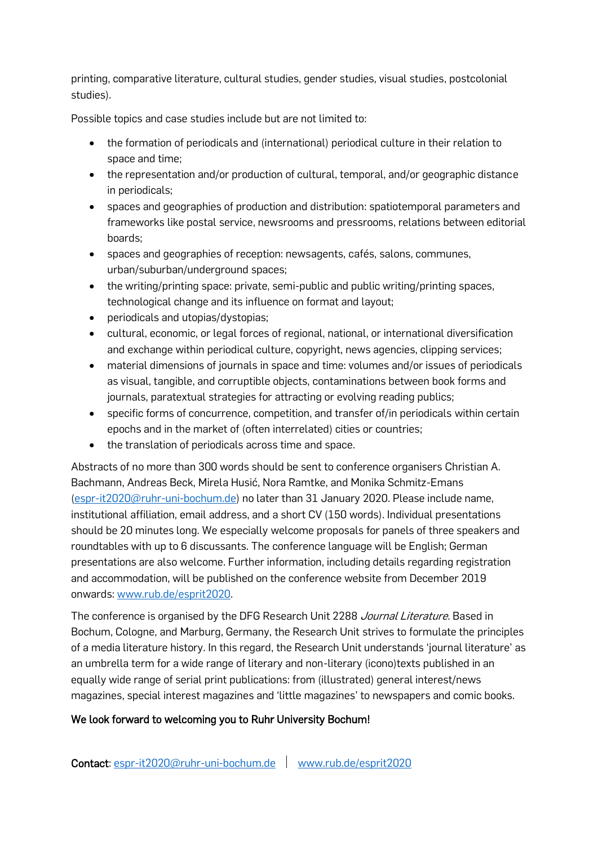printing, comparative literature, cultural studies, gender studies, visual studies, postcolonial studies).

Possible topics and case studies include but are not limited to:

- the formation of periodicals and (international) periodical culture in their relation to space and time;
- the representation and/or production of cultural, temporal, and/or geographic distance in periodicals;
- spaces and geographies of production and distribution: spatiotemporal parameters and frameworks like postal service, newsrooms and pressrooms, relations between editorial boards;
- spaces and geographies of reception: newsagents, cafés, salons, communes, urban/suburban/underground spaces;
- the writing/printing space: private, semi-public and public writing/printing spaces, technological change and its influence on format and layout;
- periodicals and utopias/dystopias;
- cultural, economic, or legal forces of regional, national, or international diversification and exchange within periodical culture, copyright, news agencies, clipping services;
- material dimensions of journals in space and time: volumes and/or issues of periodicals as visual, tangible, and corruptible objects, contaminations between book forms and journals, paratextual strategies for attracting or evolving reading publics;
- specific forms of concurrence, competition, and transfer of/in periodicals within certain epochs and in the market of (often interrelated) cities or countries;
- the translation of periodicals across time and space.

Abstracts of no more than 300 words should be sent to conference organisers Christian A. Bachmann, Andreas Beck, Mirela Husić, Nora Ramtke, and Monika Schmitz-Emans [\(espr-it2020@ruhr-uni-bochum.de\)](mailto:espr-it2020@ruhr-uni-bochum.de) no later than 31 January 2020. Please include name, institutional affiliation, email address, and a short CV (150 words). Individual presentations should be 20 minutes long. We especially welcome proposals for panels of three speakers and roundtables with up to 6 discussants. The conference language will be English; German presentations are also welcome. Further information, including details regarding registration and accommodation, will be published on the conference website from December 2019 onwards: [www.rub.de/esprit2020.](http://www.rub.de/esprit2020)

The conference is organised by the DFG Research Unit 2288 *Journal Literature*. Based in Bochum, Cologne, and Marburg, Germany, the Research Unit strives to formulate the principles of a media literature history. In this regard, the Research Unit understands 'journal literature' as an umbrella term for a wide range of literary and non-literary (icono)texts published in an equally wide range of serial print publications: from (illustrated) general interest/news magazines, special interest magazines and 'little magazines' to newspapers and comic books.

## We look forward to welcoming you to Ruhr University Bochum!